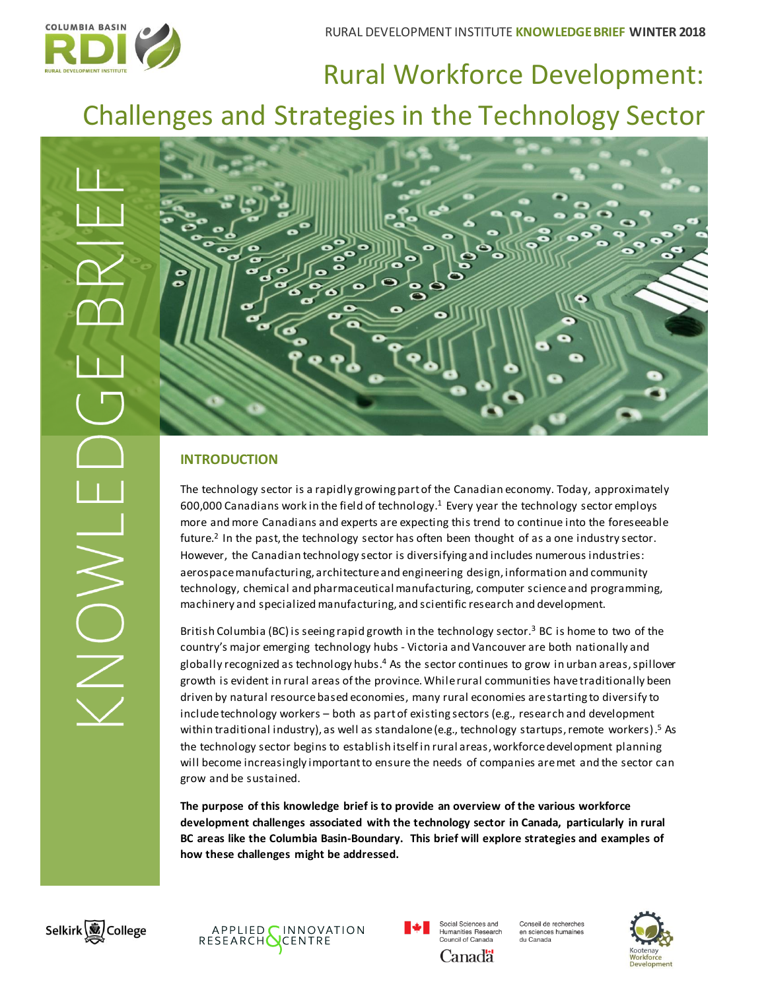

# Rural Workforce Development: Challenges and Strategies in the Technology Sector



## **INTRODUCTION**

The technology sector is a rapidly growing part of the Canadian economy. Today, approximately 600,000 Canadians work in the field of technology. <sup>1</sup> Every year the technology sector employs more and more Canadians and experts are expecting this trend to continue into the foreseeable future.<sup>2</sup> In the past, the technology sector has often been thought of as a one industry sector. However, the Canadian technology sector is diversifying and includes numerous industries: aerospace manufacturing, architecture and engineering design, information and community technology, chemical and pharmaceutical manufacturing, computer science and programming, machinery and specialized manufacturing, and scientific research and development.

British Columbia (BC) is seeing rapid growth in the technology sector.<sup>3</sup> BC is home to two of the country's major emerging technology hubs - Victoria and Vancouver are both nationally and globally recognized as technology hubs.<sup>4</sup> As the sector continues to grow in urban areas, spillover growth is evident in rural areas of the province. While rural communities have traditionally been driven by natural resourcebased economies, many rural economies are starting to diversify to include technology workers – both as part of existing sectors (e.g., research and development within traditional industry), as well as standalone (e.g., technology startups, remote workers).<sup>5</sup> As the technology sector begins to establish itself in rural areas, workforce development planning will become increasingly important to ensure the needs of companies are met and the sector can grow and be sustained.

**The purpose of this knowledge brief is to provide an overview of the various workforce development challenges associated with the technology sector in Canada, particularly in rural BC areas like the Columbia Basin-Boundary. This brief will explore strategies and examples of how these challenges might be addressed.**







Canadä

Conseil de recherches en sciences humaines du Canada

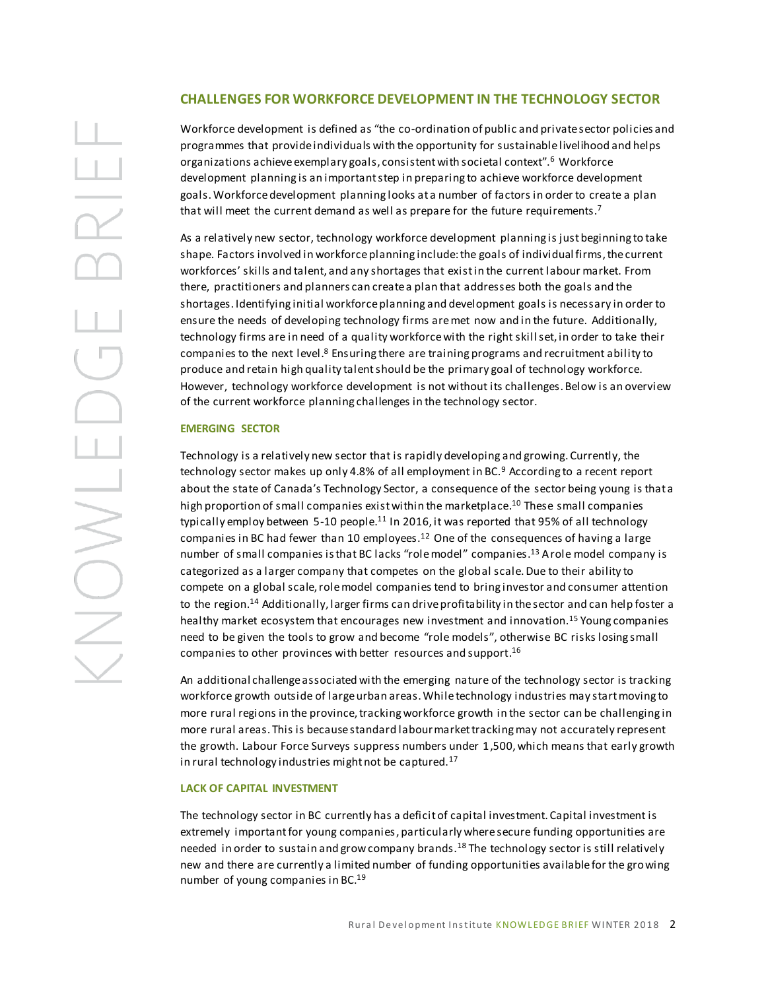## **CHALLENGES FOR WORKFORCE DEVELOPMENT IN THE TECHNOLOGY SECTOR**

Workforce development is defined as "the co-ordination of public and private sector policies and programmes that provide individuals with the opportunity for sustainable livelihood and helps organizations achieve exemplary goals, consistent with societal context".<sup>6</sup> Workforce development planning is an important step in preparing to achieve workforce development goals. Workforce development planning looks at a number of factors in order to create a plan that will meet the current demand as well as prepare for the future requirements.<sup>7</sup>

As a relatively new sector, technology workforce development planning is just beginning to take shape. Factors involved in workforce planning include:the goals of individual firms, the current workforces' skills and talent, and any shortages that exist in the current labour market. From there, practitioners and planners can create a plan that addresses both the goals and the shortages. Identifying initial workforce planning and development goals is necessary in order to ensure the needs of developing technology firms are met now and in the future. Additionally, technology firms are in need of a quality workforcewith the right skill set, in order to take their companies to the next level.<sup>8</sup> Ensuring there are training programs and recruitment ability to produce and retain high quality talent should be the primary goal of technology workforce. However, technology workforce development is not without its challenges. Below is an overview of the current workforce planning challenges in the technology sector.

#### **EMERGING SECTOR**

Technology is a relatively new sector that is rapidly developing and growing. Currently, the technology sector makes up only 4.8% of all employment in BC.<sup>9</sup> According to a recent report about the state of Canada's Technology Sector, a consequence of the sector being young is that a high proportion of small companies exist within the marketplace. <sup>10</sup> These small companies typically employ between 5-10 people.<sup>11</sup> In 2016, it was reported that 95% of all technology companies in BC had fewer than 10 employees.<sup>12</sup> One of the consequences of having a large number of small companies is that BC lacks "role model" companies.<sup>13</sup> A role model company is categorized as a larger company that competes on the global scale. Due to their ability to compete on a global scale, role model companies tend to bring investor and consumer attention to the region.<sup>14</sup> Additionally, larger firms can drive profitability in the sector and can help foster a healthy market ecosystem that encourages new investment and innovation.<sup>15</sup> Young companies need to be given the tools to grow and become "role models", otherwise BC risks losing small companies to other provinces with better resources and support.<sup>16</sup>

An additional challenge associated with the emerging nature of the technology sector is tracking workforce growth outside of large urban areas. While technology industries may start moving to more rural regions in the province, tracking workforce growth in the sector can be challenging in more rural areas. This is because standard labour market tracking may not accurately represent the growth. Labour Force Surveys suppress numbers under 1,500, which means that early growth in rural technology industries might not be captured.<sup>17</sup>

#### **LACK OF CAPITAL INVESTMENT**

The technology sector in BC currently has a deficit of capital investment. Capital investment is extremely important for young companies, particularly where secure funding opportunities are needed in order to sustain and grow company brands.<sup>18</sup> The technology sector is still relatively new and there are currently a limited number of funding opportunities available for the growing number of young companies in BC.<sup>19</sup>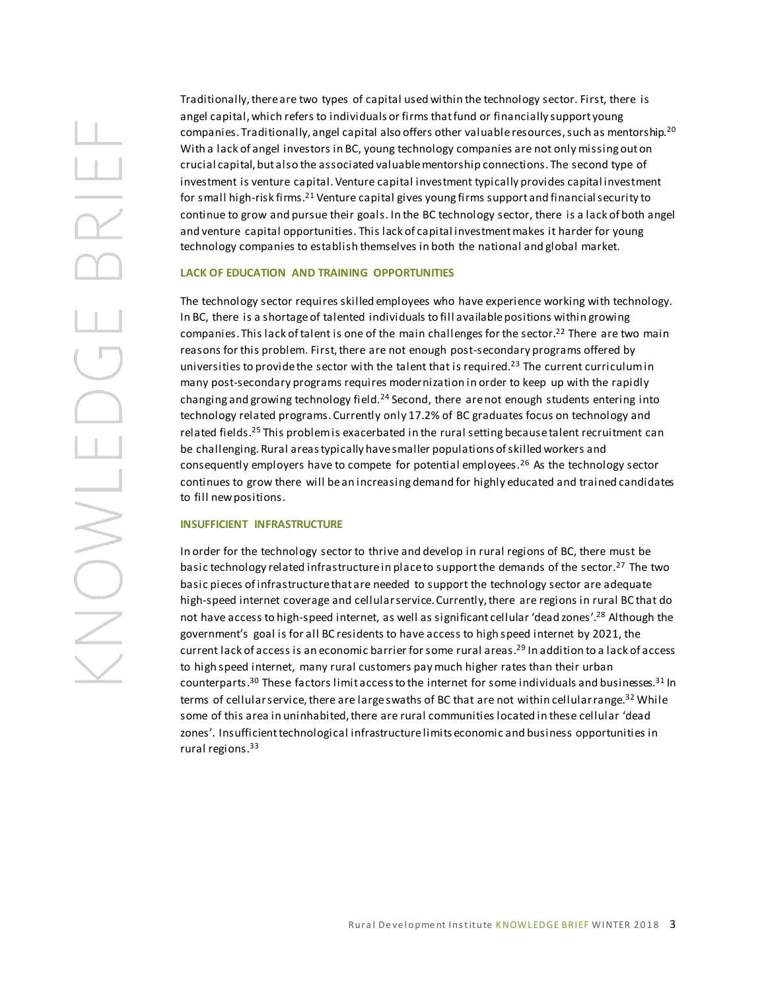Traditionally, there are two types of capital used within the technology sector. First, there is angel capital, which refers to individuals or firms that fund or financially support young companies. Traditionally, angel capital also offers other valuable resources, such as mentorship.<sup>20</sup> With a lack of angel investors in BC, young technology companies are not only missing out on crucial capital, but also the associated valuable mentorship connections. The second type of investment is venture capital. Venture capital investment typically provides capital investment for small high-risk firms.<sup>21</sup> Venture capital gives young firms support and financial security to continue to grow and pursue their goals. In the BC technology sector, there is a lack of both angel and venture capital opportunities. This lack of capital investment makes it harder for young technology companies to establish themselves in both the national and global market.

#### **LACK OF EDUCATION AND TRAINING OPPORTUNITIES**

The technology sector requires skilled employees who have experience working with technology. In BC, there is a shortage of talented individuals to fill available positions within growing companies. This lack of talent is one of the main challenges for the sector.<sup>22</sup> There are two main reasons for this problem. First, there are not enough post-secondary programs offered by universities to provide the sector with the talent that is required.<sup>23</sup> The current curriculum in many post-secondary programs requires modernization in order to keep up with the rapidly changing and growing technology field.<sup>24</sup> Second, there are not enough students entering into technology related programs. Currently only 17.2% of BC graduates focus on technology and related fields.<sup>25</sup> This problem is exacerbated in the rural setting because talent recruitment can be challenging. Rural areas typically have smaller populations of skilled workers and consequently employers have to compete for potential employees.<sup>26</sup> As the technology sector continues to grow there will be an increasing demand for highly educated and trained candidates to fill new positions.

#### **INSUFFICIENT INFRASTRUCTURE**

In order for the technology sector to thrive and develop in rural regions of BC, there must be basic technology related infrastructure in place to support the demands of the sector.<sup>27</sup> The two basic pieces of infrastructure that are needed to support the technology sector are adequate high-speed internet coverage and cellular service. Currently, there are regions in rural BC that do not have access to high-speed internet, as well as significant cellular 'dead zones'. <sup>28</sup> Although the government's goal is for all BC residents to have access to high speed internet by 2021, the current lack of access is an economic barrier for some rural areas.<sup>29</sup> In addition to a lack of access to high speed internet, many rural customers pay much higher rates than their urban counterparts.<sup>30</sup> These factors limit access to the internet for some individuals and businesses.<sup>31</sup> In terms of cellular service, there are large swaths of BC that are not within cellular range.<sup>32</sup> While some of this area in uninhabited, there are rural communities located in these cellular 'dead zones'. Insufficient technological infrastructure limits economic and business opportunities in rural regions.33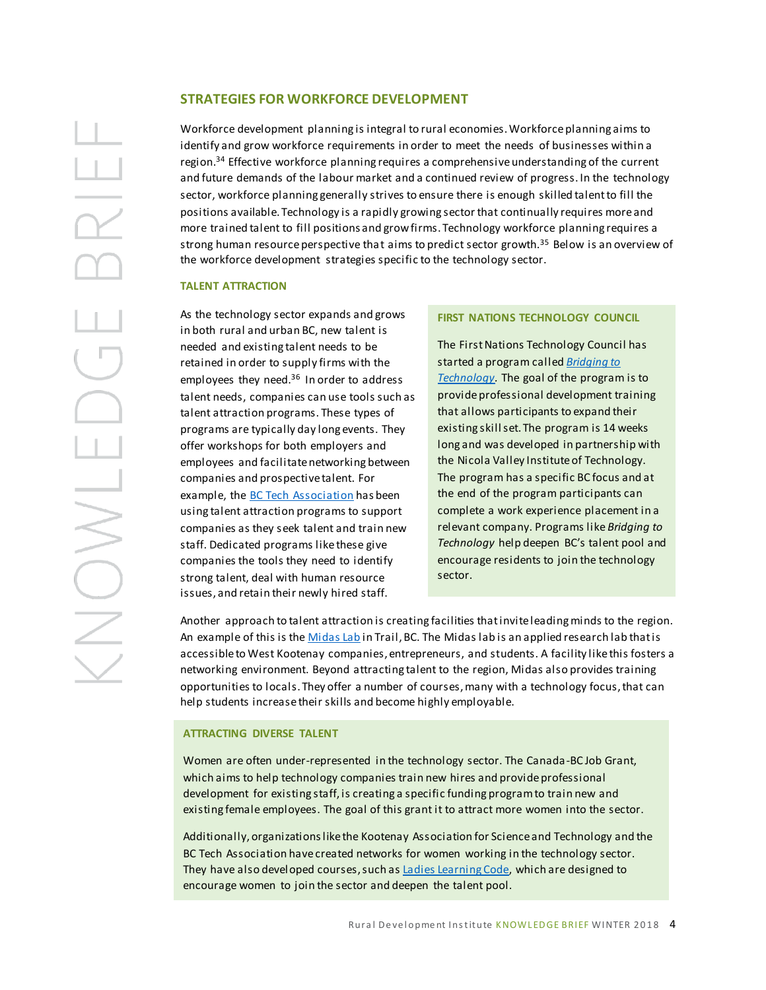## **STRATEGIES FOR WORKFORCE DEVELOPMENT**

Workforce development planning is integral to rural economies. Workforce planning aims to identify and grow workforce requirements in order to meet the needs of businesses within a region. <sup>34</sup> Effective workforce planning requires a comprehensive understanding of the current and future demands of the labour market and a continued review of progress. In the technology sector, workforce planning generally strives to ensure there is enough skilled talent to fill the positions available. Technology is a rapidly growing sector that continually requires more and more trained talent to fill positions and grow firms. Technology workforce planning requires a strong human resource perspective that aims to predict sector growth.<sup>35</sup> Below is an overview of the workforce development strategies specific to the technology sector.

#### **TALENT ATTRACTION**

As the technology sector expands and grows in both rural and urban BC, new talent is needed and existing talent needs to be retained in order to supply firms with the employees they need.<sup>36</sup> In order to address talent needs, companies can use tools such as talent attraction programs. These types of programs are typically day long events. They offer workshops for both employers and employees and facilitate networking between companies and prospective talent. For example, th[e BC Tech Association](https://wearebctech.com/talent-initiatives/recruiter-in-residence/) has been using talent attraction programs to support companies as they seek talent and train new staff. Dedicated programs like these give companies the tools they need to identify strong talent, deal with human resource issues, and retain their newly hired staff.

#### **FIRST NATIONS TECHNOLOGY COUNCIL**

The First Nations Technology Council has started a program called *[Bridging to](http://www.technologycouncil.ca/talent-development/bridging-to-technology)  [Technology.](http://www.technologycouncil.ca/talent-development/bridging-to-technology)* The goal of the program is to provide professional development training that allows participants to expand their existing skill set. The program is 14 weeks long and was developed in partnership with the Nicola Valley Institute of Technology. The program has a specific BC focus and at the end of the program participants can complete a work experience placement in a relevant company. Programs like *Bridging to Technology* help deepen BC's talent pool and encourage residents to join the technology sector.

Another approach to talent attraction is creating facilities that invite leading minds to the region. An example of this is th[e Midas Lab](https://www.midaslab.ca/) in Trail, BC. The Midas lab is an applied research lab that is accessible to West Kootenay companies, entrepreneurs, and students. A facility like this fosters a networking environment. Beyond attracting talent to the region, Midas also provides training opportunities to locals. They offer a number of courses, many with a technology focus, that can help students increase their skills and become highly employable.

#### **ATTRACTING DIVERSE TALENT**

Women are often under-represented in the technology sector. The Canada-BC Job Grant, which aims to help technology companies train new hires and provide professional development for existing staff, is creating a specific funding program to train new and existing female employees. The goal of this grant it to attract more women into the sector.

Additionally, organizations like the Kootenay Association for Science and Technology and the BC Tech Association have created networks for women working in the technology sector. They have also developed courses, such a[s Ladies Learning Code,](https://www.canadalearningcode.ca/program/ladies-learning-code/) which are designed to encourage women to join the sector and deepen the talent pool.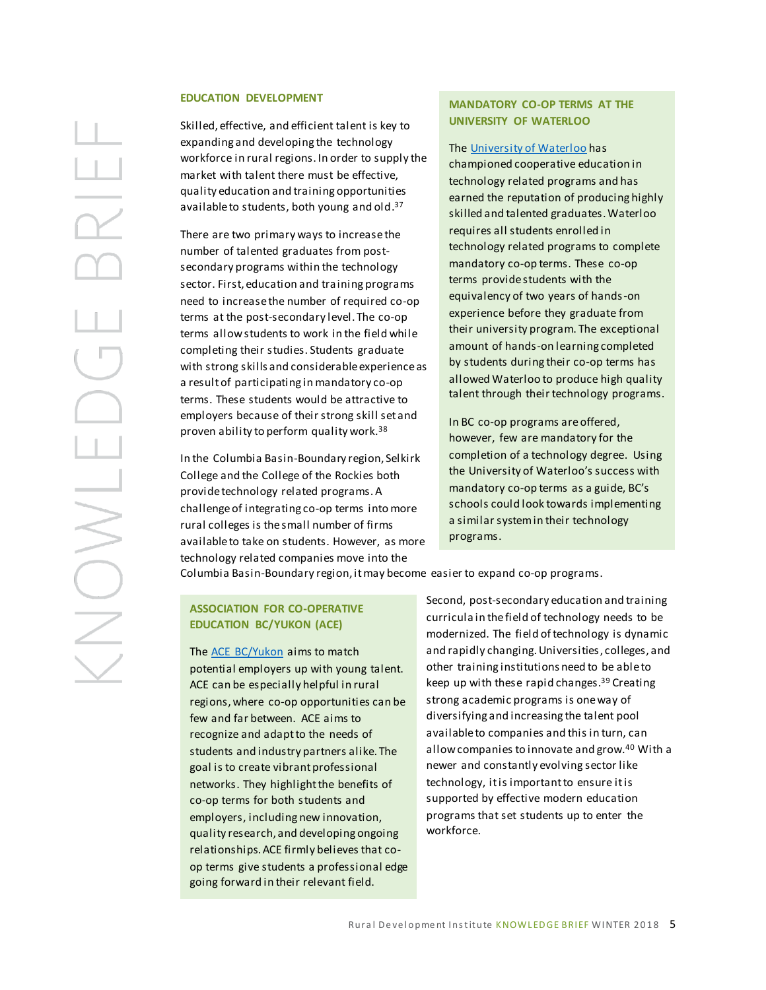#### **EDUCATION DEVELOPMENT**

Skilled, effective, and efficient talent is key to expanding and developing the technology workforce in rural regions. In order to supply the market with talent there must be effective, quality education and training opportunities available to students, both young and old.<sup>37</sup>

There are two primary ways to increase the number of talented graduates from postsecondary programs within the technology sector. First, education and training programs need to increase the number of required co-op terms at the post-secondary level. The co-op terms allow students to work in the field while completing their studies. Students graduate with strong skills and considerable experience as a result of participating in mandatory co-op terms. These students would be attractive to employers because of their strong skill set and proven ability to perform quality work.<sup>38</sup>

In the Columbia Basin-Boundary region, Selkirk College and the College of the Rockies both provide technology related programs. A challenge of integrating co-op terms into more rural colleges is the small number of firms available to take on students. However, as more technology related companies move into the

## **MANDATORY CO-OP TERMS AT THE UNIVERSITY OF WATERLOO**

The [University of Waterloo](file://///fs1.sgrc.selkirk.ca/Research/RDI/SSHRC%20Workforce/Literature%20and%20Background/Technology%20and%20Innovation%20Lit%20Review/University%20of%20Waterloo.%20(n.d.).%20Co-operative%20Education.%20Retrieved%20January%2014,%202018,%20from%20https:/uwaterloo.ca/co-operative-education/about-co-operative-education/our-programs) has

championed cooperative education in technology related programs and has earned the reputation of producing highly skilled and talented graduates.Waterloo requires all students enrolled in technology related programs to complete mandatory co-op terms. These co-op terms provide students with the equivalency of two years of hands-on experience before they graduate from their university program. The exceptional amount of hands-on learning completed by students during their co-op terms has allowed Waterloo to produce high quality talent through their technology programs.

In BC co-op programs are offered, however, few are mandatory for the completion of a technology degree. Using the University of Waterloo's success with mandatory co-op terms as a guide, BC's schools could look towards implementing a similar system in their technology programs.

Columbia Basin-Boundary region, it may become easier to expand co-op programs.

### **ASSOCIATION FOR CO-OPERATIVE EDUCATION BC/YUKON (ACE)**

The **ACE BC/Yukon** aims to match potential employers up with young talent. ACE can be especially helpful in rural regions, where co-op opportunities can be few and far between. ACE aims to recognize and adapt to the needs of students and industry partners alike. The goal is to create vibrant professional networks. They highlight the benefits of co-op terms for both students and employers, including new innovation, quality research, and developing ongoing relationships. ACE firmly believes that coop terms give students a professional edge going forward in their relevant field.

Second, post-secondary education and training curricula in the field of technology needs to be modernized. The field of technology is dynamic and rapidly changing. Universities, colleges, and other training institutions need to be able to keep up with these rapid changes.<sup>39</sup> Creating strong academic programs is one way of diversifying and increasing the talent pool available to companies and this in turn, can allow companies to innovate and grow.<sup>40</sup> With a newer and constantly evolving sector like technology, it is important to ensure it is supported by effective modern education programs that set students up to enter the workforce.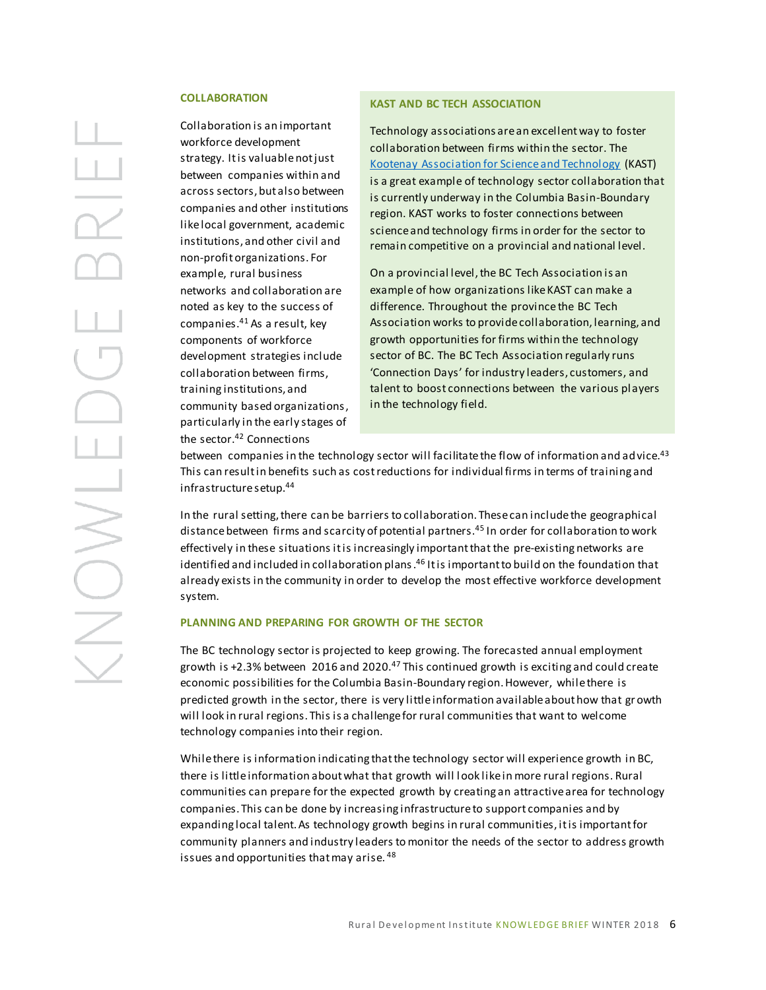#### **COLLABORATION**

Collaboration is an important workforce development strategy. It is valuable not just between companies within and across sectors, but also between companies and other institutions like local government, academic institutions, and other civil and non-profit organizations. For example, rural business networks and collaboration are noted as key to the success of companies.<sup>41</sup> As a result, key components of workforce development strategies include collaboration between firms, training institutions, and community based organizations, particularly in the early stages of the sector.<sup>42</sup> Connections

#### **KAST AND BC TECH ASSOCIATION**

Technology associations are an excellent way to foster collaboration between firms within the sector. The [Kootenay Association for Science and Technology](http://kast.com/) (KAST) is a great example of technology sector collaboration that is currently underway in the Columbia Basin-Boundary region. KAST works to foster connections between science and technology firms in order for the sector to remain competitive on a provincial and national level.

On a provincial level, the BC Tech Association is an example of how organizations like KAST can make a difference. Throughout the province the BC Tech Association works to provide collaboration, learning, and growth opportunities for firms within the technology sector of BC. The BC Tech Association regularly runs 'Connection Days' for industry leaders, customers, and talent to boost connections between the various players in the technology field.

between companies in the technology sector will facilitate the flow of information and advice.<sup>43</sup> This can result in benefits such as costreductions for individual firms in terms of training and infrastructure setup.<sup>44</sup>

In the rural setting, there can be barriers to collaboration. These can include the geographical distance between firms and scarcity of potential partners.<sup>45</sup> In order for collaboration to work effectively in these situations it is increasingly important that the pre-existing networks are identified and included in collaboration plans .<sup>46</sup> It is important to build on the foundation that already exists in the community in order to develop the most effective workforce development system.

#### **PLANNING AND PREPARING FOR GROWTH OF THE SECTOR**

The BC technology sector is projected to keep growing. The forecasted annual employment growth is +2.3% between 2016 and 2020.<sup>47</sup> This continued growth is exciting and could create economic possibilities for the Columbia Basin-Boundary region.However, while there is predicted growth in the sector, there is very little information available about how that growth will look in rural regions. This is a challenge for rural communities that want to welcome technology companies into their region.

While there is information indicating that the technology sector will experience growth in BC, there is little information about what that growth will look like in more rural regions. Rural communities can prepare for the expected growth by creating an attractive area for technology companies. This can be done by increasing infrastructure to support companies and by expanding local talent. As technology growth begins in rural communities, it is important for community planners and industry leaders to monitor the needs of the sector to address growth issues and opportunities that may arise. <sup>48</sup>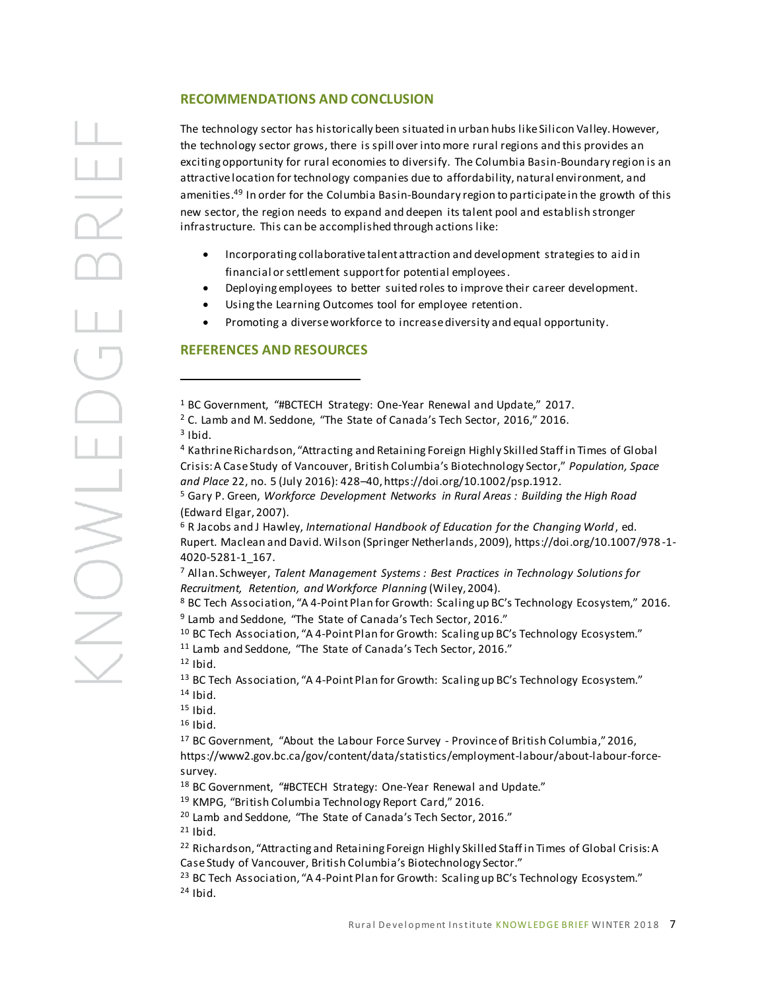The technology sector has historically been situated in urban hubs like Silicon Valley. However, the technology sector grows, there is spill over into more rural regions and this provides an exciting opportunity for rural economies to diversify. The Columbia Basin-Boundary region is an attractive location for technology companies due to affordability, natural environment, and amenities.<sup>49</sup> In order for the Columbia Basin-Boundary region to participate in the growth of this new sector, the region needs to expand and deepen its talent pool and establish stronger infrastructure. This can be accomplished through actions like:

- Incorporating collaborative talent attraction and development strategies to aid in financial or settlement support for potential employees.
- Deploying employees to better suited roles to improve their career development.
- Using the Learning Outcomes tool for employee retention.
- Promoting a diverse workforce to increase diversity and equal opportunity.

## **REFERENCES AND RESOURCES**

<sup>1</sup> BC Government, "#BCTECH Strategy: One-Year Renewal and Update," 2017.

<sup>2</sup> C. Lamb and M. Seddone, "The State of Canada's Tech Sector, 2016," 2016.  $3$  Ibid.

<sup>4</sup> Kathrine Richardson, "Attracting and Retaining Foreign Highly Skilled Staff in Times of Global Crisis: A Case Study of Vancouver, British Columbia's Biotechnology Sector," *Population, Space and Place* 22, no. 5 (July 2016): 428–40, https://doi.org/10.1002/psp.1912.

<sup>5</sup> Gary P. Green, *Workforce Development Networks in Rural Areas : Building the High Road* (Edward Elgar, 2007).

<sup>6</sup> R Jacobs and J Hawley, *International Handbook of Education for the Changing World*, ed. Rupert. Maclean and David. Wilson (Springer Netherlands, 2009), https://doi.org/10.1007/978 -1- 4020-5281-1\_167.

<sup>7</sup> Allan. Schweyer, *Talent Management Systems : Best Practices in Technology Solutions for Recruitment, Retention, and Workforce Planning* (Wiley, 2004).

<sup>8</sup> BC Tech Association, "A 4‐Point Plan for Growth: Scaling up BC's Technology Ecosystem," 2016. <sup>9</sup> Lamb and Seddone, "The State of Canada's Tech Sector, 2016."

<sup>10</sup> BC Tech Association, "A 4-Point Plan for Growth: Scaling up BC's Technology Ecosystem."

<sup>11</sup> Lamb and Seddone, "The State of Canada's Tech Sector, 2016."

 $12$  Ibid.

 $\overline{a}$ 

BINONS

<sup>13</sup> BC Tech Association, "A 4-Point Plan for Growth: Scaling up BC's Technology Ecosystem." <sup>14</sup> Ibid.

 $15$  Ibid.

<sup>16</sup> Ibid.

<sup>17</sup> BC Government, "About the Labour Force Survey - Province of British Columbia," 2016, https://www2.gov.bc.ca/gov/content/data/statistics/employment-labour/about-labour-forcesurvey.

<sup>18</sup> BC Government, "#BCTECH Strategy: One-Year Renewal and Update."

<sup>19</sup> KMPG, "British Columbia Technology Report Card," 2016.

<sup>20</sup> Lamb and Seddone, "The State of Canada's Tech Sector, 2016."

 $21$  Ibid.

<sup>22</sup> Richardson, "Attracting and Retaining Foreign Highly Skilled Staff in Times of Global Crisis: A Case Study of Vancouver, British Columbia's Biotechnology Sector."

<sup>23</sup> BC Tech Association, "A 4-Point Plan for Growth: Scaling up BC's Technology Ecosystem."  $24$  Ibid.